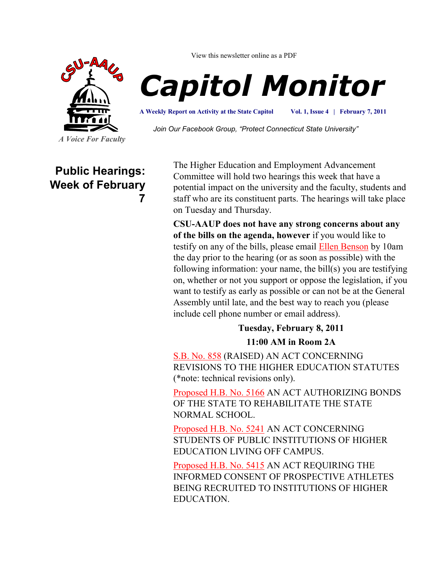

View this newsletter online as a PDF

# *Capitol Monitor*

**A Weekly Report on Activity at the State Capitol**

**Vol. 1, Issue 4 | February 7, 2011**

*Join Our Facebook Group, "Protect Connecticut State University"*

**Public Hearings: Week of February 7**

The Higher Education and Employment Advancement Committee will hold two hearings this week that have a potential impact on the university and the faculty, students and staff who are its constituent parts. The hearings will take place on Tuesday and Thursday.

**CSU-AAUP does not have any strong concerns about any of the bills on the agenda, however** if you would like to testify on any of the bills, please email [Ellen Benson](mailto:bensonell@ccsu.edu?subject=Sign%20Me%20Up%20to%20Testify) by 10am the day prior to the hearing (or as soon as possible) with the following information: your name, the bill(s) you are testifying on, whether or not you support or oppose the legislation, if you want to testify as early as possible or can not be at the General Assembly until late, and the best way to reach you (please include cell phone number or email address).

**Tuesday, February 8, 2011** 

**11:00 AM in Room 2A**

[S.B. No. 858](http://www.cga.ct.gov/asp/cgabillstatus/cgabillstatus.asp?selBillType=Bill&bill_num=SB00858&which_year=2011) (RAISED) AN ACT CONCERNING REVISIONS TO THE HIGHER EDUCATION STATUTES (\*note: technical revisions only).

[Proposed H.B. No. 5166](http://www.cga.ct.gov/asp/cgabillstatus/cgabillstatus.asp?selBillType=Bill&bill_num=HB05166&which_year=2011) AN ACT AUTHORIZING BONDS OF THE STATE TO REHABILITATE THE STATE NORMAL SCHOOL.

[Proposed H.B. No. 5241](http://www.cga.ct.gov/asp/cgabillstatus/cgabillstatus.asp?selBillType=Bill&bill_num=HB05241&which_year=2011) AN ACT CONCERNING STUDENTS OF PUBLIC INSTITUTIONS OF HIGHER EDUCATION LIVING OFF CAMPUS.

[Proposed H.B. No. 5415](http://www.cga.ct.gov/asp/cgabillstatus/cgabillstatus.asp?selBillType=Bill&bill_num=HB05415&which_year=2011) AN ACT REQUIRING THE INFORMED CONSENT OF PROSPECTIVE ATHLETES BEING RECRUITED TO INSTITUTIONS OF HIGHER EDUCATION.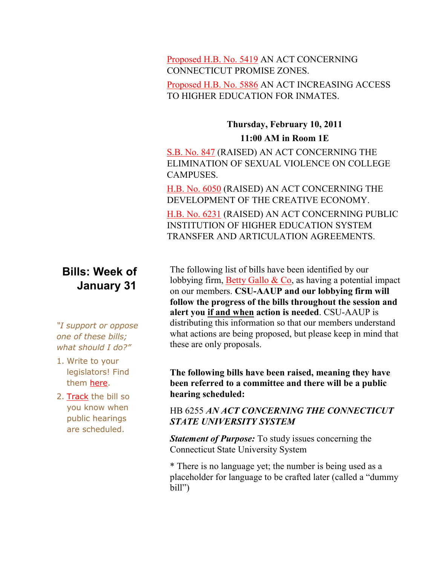#### [Proposed H.B. No. 5419](http://www.cga.ct.gov/asp/cgabillstatus/cgabillstatus.asp?selBillType=Bill&bill_num=HB05419&which_year=2011) AN ACT CONCERNING CONNECTICUT PROMISE ZONES.

#### [Proposed H.B. No. 5886](http://www.cga.ct.gov/asp/cgabillstatus/cgabillstatus.asp?selBillType=Bill&bill_num=HB05886&which_year=2011) AN ACT INCREASING ACCESS TO HIGHER EDUCATION FOR INMATES.

### **Thursday, February 10, 2011 11:00 AM in Room 1E**

[S.B. No. 847](http://www.cga.ct.gov/asp/cgabillstatus/cgabillstatus.asp?selBillType=Bill&bill_num=SB00847&which_year=2011) (RAISED) AN ACT CONCERNING THE ELIMINATION OF SEXUAL VIOLENCE ON COLLEGE CAMPUSES.

[H.B. No. 6050](http://www.cga.ct.gov/asp/cgabillstatus/cgabillstatus.asp?selBillType=Bill&bill_num=HB06050&which_year=2011) (RAISED) AN ACT CONCERNING THE DEVELOPMENT OF THE CREATIVE ECONOMY.

[H.B. No. 6231](http://www.cga.ct.gov/asp/cgabillstatus/cgabillstatus.asp?selBillType=Bill&bill_num=HB06231&which_year=2011) (RAISED) AN ACT CONCERNING PUBLIC INSTITUTION OF HIGHER EDUCATION SYSTEM TRANSFER AND ARTICULATION AGREEMENTS.

## **Bills: Week of January 31**

*"I support or oppose one of these bills; what should I do?"*

- 1. Write to your legislators! Find them [here.](http://www.congressweb.com/cweb4/index.cfm?orgcode=BGAUP)
- 2. [Track](http://www.cga.ct.gov/aspx/CGAPublicBillTrack/Register.aspx) the bill so you know when public hearings are scheduled.

The following list of bills have been identified by our lobbying firm, Betty Gallo  $& Co$ , as having a potential impact on our members. **CSU-AAUP and our lobbying firm will follow the progress of the bills throughout the session and alert you if and when action is needed**. CSU-AAUP is distributing this information so that our members understand what actions are being proposed, but please keep in mind that these are only proposals.

#### **The following bills have been raised, meaning they have been referred to a committee and there will be a public hearing scheduled:**

#### HB 6255 *AN ACT CONCERNING THE CONNECTICUT STATE UNIVERSITY SYSTEM*

*Statement of Purpose:* To study issues concerning the Connecticut State University System

\* There is no language yet; the number is being used as a placeholder for language to be crafted later (called a "dummy bill")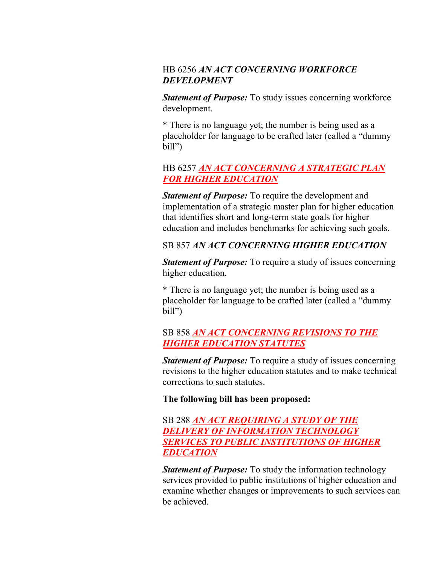#### HB 6256 *AN ACT CONCERNING WORKFORCE DEVELOPMENT*

*Statement of Purpose:* To study issues concerning workforce development.

\* There is no language yet; the number is being used as a placeholder for language to be crafted later (called a "dummy bill")

#### HB 6257 *[AN ACT CONCERNING A STRATEGIC PLAN](http://www.cga.ct.gov/2011/TOB/H/2011HB-06257-R00-HB.htm)  [FOR HIGHER EDUCATION](http://www.cga.ct.gov/2011/TOB/H/2011HB-06257-R00-HB.htm)*

*Statement of Purpose:* To require the development and implementation of a strategic master plan for higher education that identifies short and long-term state goals for higher education and includes benchmarks for achieving such goals.

#### SB 857 *AN ACT CONCERNING HIGHER EDUCATION*

*Statement of Purpose:* To require a study of issues concerning higher education.

\* There is no language yet; the number is being used as a placeholder for language to be crafted later (called a "dummy bill")

#### SB 858 *[AN ACT CONCERNING REVISIONS TO THE](http://www.cga.ct.gov/2011/TOB/S/2011SB-00858-R00-SB.htm)  [HIGHER EDUCATION STATUTES](http://www.cga.ct.gov/2011/TOB/S/2011SB-00858-R00-SB.htm)*

*Statement of Purpose:* To require a study of issues concerning revisions to the higher education statutes and to make technical corrections to such statutes.

#### **The following bill has been proposed:**

#### SB 288 *[AN ACT REQUIRING A STUDY OF THE](http://www.cga.ct.gov/2011/TOB/S/2011SB-00288-R01-SB.htm)  [DELIVERY OF INFORMATION TECHNOLOGY](http://www.cga.ct.gov/2011/TOB/S/2011SB-00288-R01-SB.htm)  [SERVICES TO PUBLIC INSTITUTIONS OF HIGHER](http://www.cga.ct.gov/2011/TOB/S/2011SB-00288-R01-SB.htm)  [EDUCATION](http://www.cga.ct.gov/2011/TOB/S/2011SB-00288-R01-SB.htm)*

*Statement of Purpose:* To study the information technology services provided to public institutions of higher education and examine whether changes or improvements to such services can be achieved.